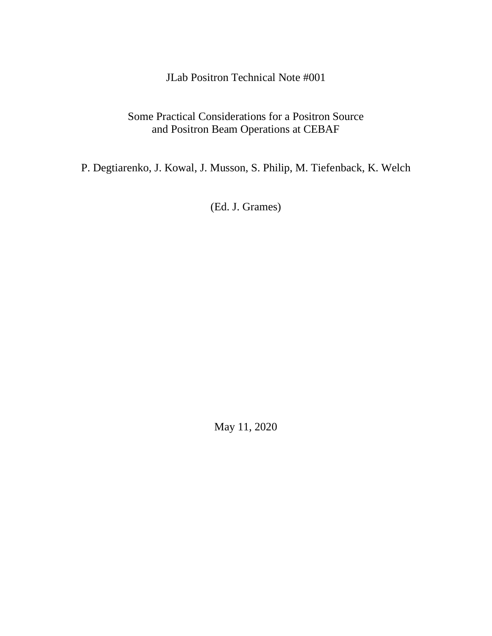JLab Positron Technical Note #001

# Some Practical Considerations for a Positron Source and Positron Beam Operations at CEBAF

P. Degtiarenko, J. Kowal, J. Musson, S. Philip, M. Tiefenback, K. Welch

(Ed. J. Grames)

May 11, 2020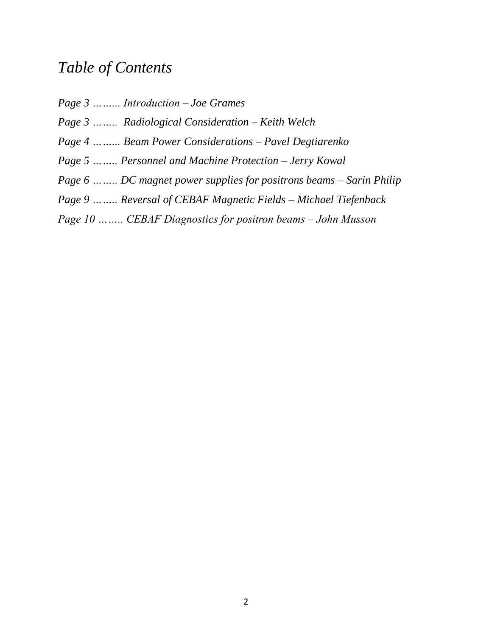# *Table of Contents*

*Page 3 ……... Introduction – Joe Grames Page 3 …….. Radiological Consideration – Keith Welch Page 4 ……... Beam Power Considerations – Pavel Degtiarenko Page 5 …….. Personnel and Machine Protection – Jerry Kowal Page 6 …….. DC magnet power supplies for positrons beams – Sarin Philip Page 9 …….. Reversal of CEBAF Magnetic Fields – Michael Tiefenback*

*Page 10 …….. CEBAF Diagnostics for positron beams – John Musson*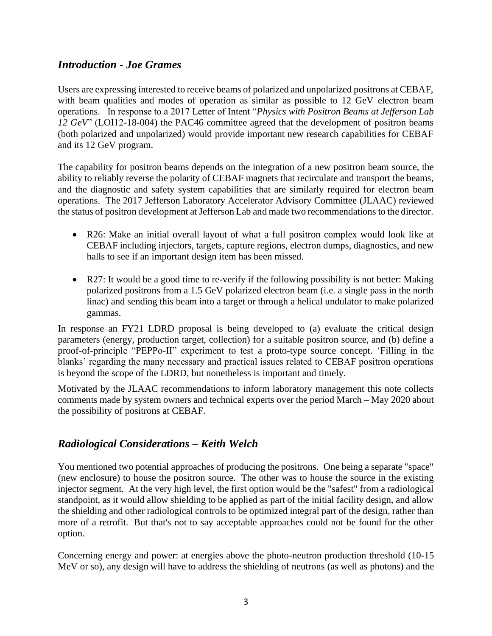## *Introduction - Joe Grames*

Users are expressing interested to receive beams of polarized and unpolarized positrons at CEBAF, with beam qualities and modes of operation as similar as possible to 12 GeV electron beam operations. In response to a 2017 Letter of Intent "*Physics with Positron Beams at Jefferson Lab 12 GeV*" (LOI12-18-004) the PAC46 committee agreed that the development of positron beams (both polarized and unpolarized) would provide important new research capabilities for CEBAF and its 12 GeV program.

The capability for positron beams depends on the integration of a new positron beam source, the ability to reliably reverse the polarity of CEBAF magnets that recirculate and transport the beams, and the diagnostic and safety system capabilities that are similarly required for electron beam operations. The 2017 Jefferson Laboratory Accelerator Advisory Committee (JLAAC) reviewed the status of positron development at Jefferson Lab and made two recommendations to the director.

- R26: Make an initial overall layout of what a full positron complex would look like at CEBAF including injectors, targets, capture regions, electron dumps, diagnostics, and new halls to see if an important design item has been missed.
- R27: It would be a good time to re-verify if the following possibility is not better: Making polarized positrons from a 1.5 GeV polarized electron beam (i.e. a single pass in the north linac) and sending this beam into a target or through a helical undulator to make polarized gammas.

In response an FY21 LDRD proposal is being developed to (a) evaluate the critical design parameters (energy, production target, collection) for a suitable positron source, and (b) define a proof-of-principle "PEPPo-II" experiment to test a proto-type source concept. 'Filling in the blanks' regarding the many necessary and practical issues related to CEBAF positron operations is beyond the scope of the LDRD, but nonetheless is important and timely.

Motivated by the JLAAC recommendations to inform laboratory management this note collects comments made by system owners and technical experts over the period March – May 2020 about the possibility of positrons at CEBAF.

# *Radiological Considerations – Keith Welch*

You mentioned two potential approaches of producing the positrons. One being a separate "space" (new enclosure) to house the positron source. The other was to house the source in the existing injector segment. At the very high level, the first option would be the "safest" from a radiological standpoint, as it would allow shielding to be applied as part of the initial facility design, and allow the shielding and other radiological controls to be optimized integral part of the design, rather than more of a retrofit. But that's not to say acceptable approaches could not be found for the other option.

Concerning energy and power: at energies above the photo-neutron production threshold (10-15 MeV or so), any design will have to address the shielding of neutrons (as well as photons) and the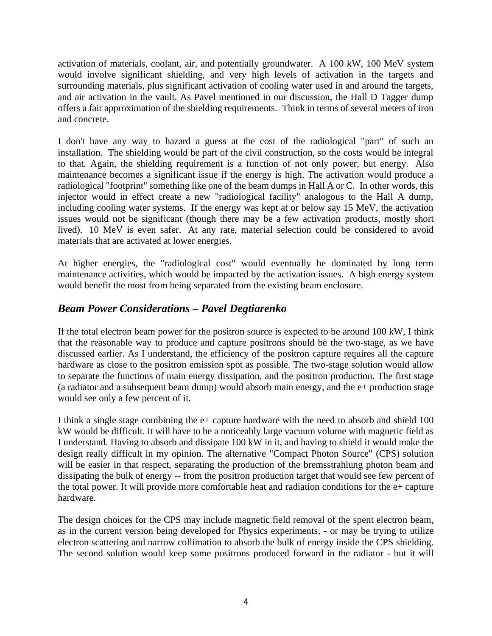activation of materials, coolant, air, and potentially groundwater. A 100 kW, 100 MeV system would involve significant shielding, and very high levels of activation in the targets and surrounding materials, plus significant activation of cooling water used in and around the targets, and air activation in the vault. As Pavel mentioned in our discussion, the Hall D Tagger dump offers a fair approximation of the shielding requirements. Think in terms of several meters of iron and concrete.

I don't have any way to hazard a guess at the cost of the radiological "part" of such an installation. The shielding would be part of the civil construction, so the costs would be integral to that. Again, the shielding requirement is a function of not only power, but energy. Also maintenance becomes a significant issue if the energy is high. The activation would produce a radiological "footprint" something like one of the beam dumps in Hall A or C. In other words, this injector would in effect create a new "radiological facility" analogous to the Hall A dump, including cooling water systems. If the energy was kept at or below say 15 MeV, the activation issues would not be significant (though there may be a few activation products, mostly short lived). 10 MeV is even safer. At any rate, material selection could be considered to avoid materials that are activated at lower energies.

At higher energies, the "radiological cost" would eventually be dominated by long term maintenance activities, which would be impacted by the activation issues. A high energy system would benefit the most from being separated from the existing beam enclosure.

# *Beam Power Considerations – Pavel Degtiarenko*

If the total electron beam power for the positron source is expected to be around 100 kW, I think that the reasonable way to produce and capture positrons should be the two-stage, as we have discussed earlier. As I understand, the efficiency of the positron capture requires all the capture hardware as close to the positron emission spot as possible. The two-stage solution would allow to separate the functions of main energy dissipation, and the positron production. The first stage (a radiator and a subsequent beam dump) would absorb main energy, and the e+ production stage would see only a few percent of it.

I think a single stage combining the e+ capture hardware with the need to absorb and shield 100 kW would be difficult. It will have to be a noticeably large vacuum volume with magnetic field as I understand. Having to absorb and dissipate 100 kW in it, and having to shield it would make the design really difficult in my opinion. The alternative "Compact Photon Source" (CPS) solution will be easier in that respect, separating the production of the bremsstrahlung photon beam and dissipating the bulk of energy -- from the positron production target that would see few percent of the total power. It will provide more comfortable heat and radiation conditions for the e+ capture hardware.

The design choices for the CPS may include magnetic field removal of the spent electron beam, as in the current version being developed for Physics experiments, - or may be trying to utilize electron scattering and narrow collimation to absorb the bulk of energy inside the CPS shielding. The second solution would keep some positrons produced forward in the radiator - but it will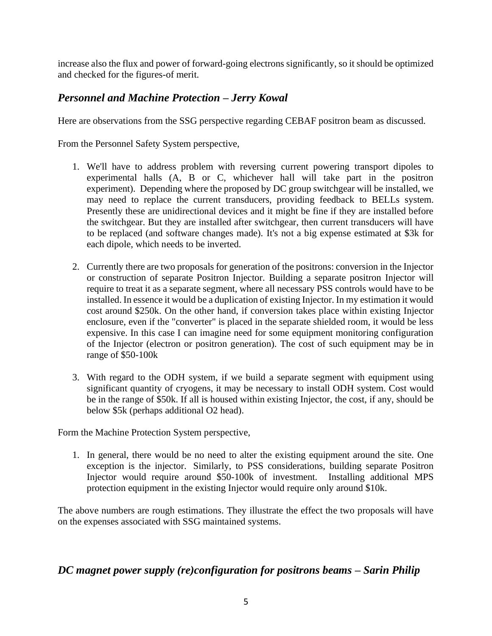increase also the flux and power of forward-going electrons significantly, so it should be optimized and checked for the figures-of merit.

# *Personnel and Machine Protection – Jerry Kowal*

Here are observations from the SSG perspective regarding CEBAF positron beam as discussed.

From the Personnel Safety System perspective,

- 1. We'll have to address problem with reversing current powering transport dipoles to experimental halls (A, B or C, whichever hall will take part in the positron experiment). Depending where the proposed by DC group switchgear will be installed, we may need to replace the current transducers, providing feedback to BELLs system. Presently these are unidirectional devices and it might be fine if they are installed before the switchgear. But they are installed after switchgear, then current transducers will have to be replaced (and software changes made). It's not a big expense estimated at \$3k for each dipole, which needs to be inverted.
- 2. Currently there are two proposals for generation of the positrons: conversion in the Injector or construction of separate Positron Injector. Building a separate positron Injector will require to treat it as a separate segment, where all necessary PSS controls would have to be installed. In essence it would be a duplication of existing Injector. In my estimation it would cost around \$250k. On the other hand, if conversion takes place within existing Injector enclosure, even if the "converter" is placed in the separate shielded room, it would be less expensive. In this case I can imagine need for some equipment monitoring configuration of the Injector (electron or positron generation). The cost of such equipment may be in range of \$50-100k
- 3. With regard to the ODH system, if we build a separate segment with equipment using significant quantity of cryogens, it may be necessary to install ODH system. Cost would be in the range of \$50k. If all is housed within existing Injector, the cost, if any, should be below \$5k (perhaps additional O2 head).

Form the Machine Protection System perspective,

1. In general, there would be no need to alter the existing equipment around the site. One exception is the injector. Similarly, to PSS considerations, building separate Positron Injector would require around \$50-100k of investment. Installing additional MPS protection equipment in the existing Injector would require only around \$10k.

The above numbers are rough estimations. They illustrate the effect the two proposals will have on the expenses associated with SSG maintained systems.

## *DC magnet power supply (re)configuration for positrons beams – Sarin Philip*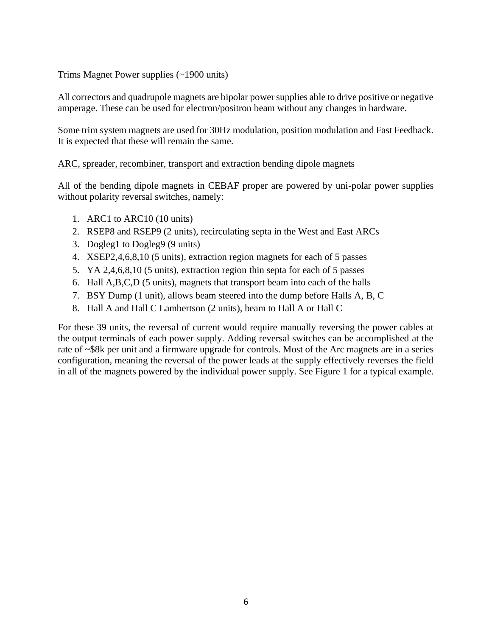#### Trims Magnet Power supplies (~1900 units)

All correctors and quadrupole magnets are bipolar power supplies able to drive positive or negative amperage. These can be used for electron/positron beam without any changes in hardware.

Some trim system magnets are used for 30Hz modulation, position modulation and Fast Feedback. It is expected that these will remain the same.

#### ARC, spreader, recombiner, transport and extraction bending dipole magnets

All of the bending dipole magnets in CEBAF proper are powered by uni-polar power supplies without polarity reversal switches, namely:

- 1. ARC1 to ARC10 (10 units)
- 2. RSEP8 and RSEP9 (2 units), recirculating septa in the West and East ARCs
- 3. Dogleg1 to Dogleg9 (9 units)
- 4. XSEP2,4,6,8,10 (5 units), extraction region magnets for each of 5 passes
- 5. YA 2,4,6,8,10 (5 units), extraction region thin septa for each of 5 passes
- 6. Hall A,B,C,D (5 units), magnets that transport beam into each of the halls
- 7. BSY Dump (1 unit), allows beam steered into the dump before Halls A, B, C
- 8. Hall A and Hall C Lambertson (2 units), beam to Hall A or Hall C

For these 39 units, the reversal of current would require manually reversing the power cables at the output terminals of each power supply. Adding reversal switches can be accomplished at the rate of ~\$8k per unit and a firmware upgrade for controls. Most of the Arc magnets are in a series configuration, meaning the reversal of the power leads at the supply effectively reverses the field in all of the magnets powered by the individual power supply. See Figure 1 for a typical example.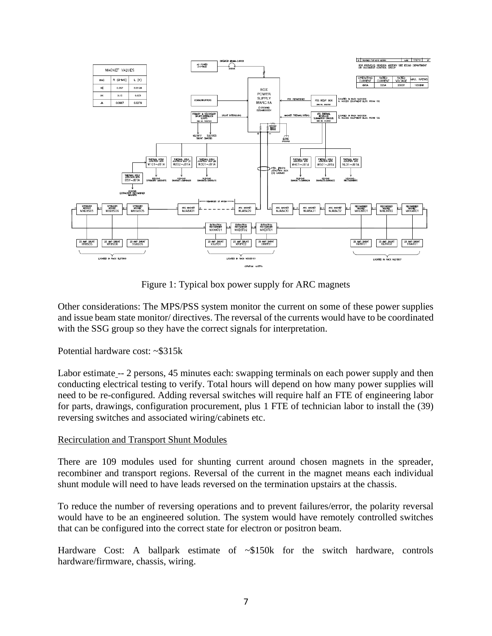

Figure 1: Typical box power supply for ARC magnets

Other considerations: The MPS/PSS system monitor the current on some of these power supplies and issue beam state monitor/ directives. The reversal of the currents would have to be coordinated with the SSG group so they have the correct signals for interpretation.

Potential hardware cost: ~\$315k

Labor estimate -- 2 persons, 45 minutes each: swapping terminals on each power supply and then conducting electrical testing to verify. Total hours will depend on how many power supplies will need to be re-configured. Adding reversal switches will require half an FTE of engineering labor for parts, drawings, configuration procurement, plus 1 FTE of technician labor to install the (39) reversing switches and associated wiring/cabinets etc.

#### Recirculation and Transport Shunt Modules

There are 109 modules used for shunting current around chosen magnets in the spreader, recombiner and transport regions. Reversal of the current in the magnet means each individual shunt module will need to have leads reversed on the termination upstairs at the chassis.

To reduce the number of reversing operations and to prevent failures/error, the polarity reversal would have to be an engineered solution. The system would have remotely controlled switches that can be configured into the correct state for electron or positron beam.

Hardware Cost: A ballpark estimate of  $\sim $150k$  for the switch hardware, controls hardware/firmware, chassis, wiring.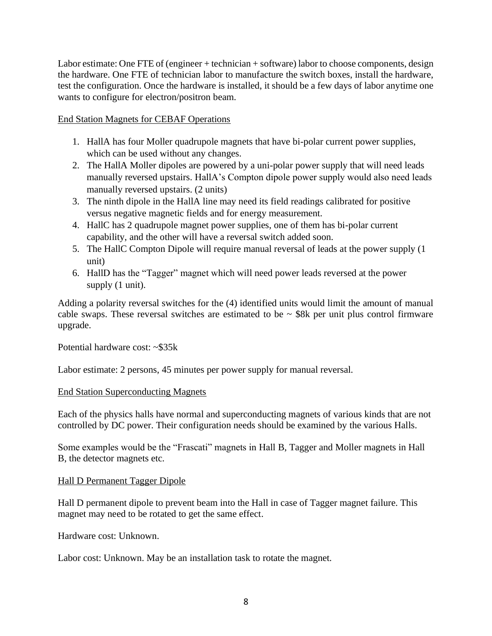Labor estimate: One FTE of (engineer + technician + software) labor to choose components, design the hardware. One FTE of technician labor to manufacture the switch boxes, install the hardware, test the configuration. Once the hardware is installed, it should be a few days of labor anytime one wants to configure for electron/positron beam.

#### End Station Magnets for CEBAF Operations

- 1. HallA has four Moller quadrupole magnets that have bi-polar current power supplies, which can be used without any changes.
- 2. The HallA Moller dipoles are powered by a uni-polar power supply that will need leads manually reversed upstairs. HallA's Compton dipole power supply would also need leads manually reversed upstairs. (2 units)
- 3. The ninth dipole in the HallA line may need its field readings calibrated for positive versus negative magnetic fields and for energy measurement.
- 4. HallC has 2 quadrupole magnet power supplies, one of them has bi-polar current capability, and the other will have a reversal switch added soon.
- 5. The HallC Compton Dipole will require manual reversal of leads at the power supply (1 unit)
- 6. HallD has the "Tagger" magnet which will need power leads reversed at the power supply  $(1 \text{ unit})$ .

Adding a polarity reversal switches for the (4) identified units would limit the amount of manual cable swaps. These reversal switches are estimated to be  $\sim$  \$8k per unit plus control firmware upgrade.

Potential hardware cost: ~\$35k

Labor estimate: 2 persons, 45 minutes per power supply for manual reversal.

#### End Station Superconducting Magnets

Each of the physics halls have normal and superconducting magnets of various kinds that are not controlled by DC power. Their configuration needs should be examined by the various Halls.

Some examples would be the "Frascati" magnets in Hall B, Tagger and Moller magnets in Hall B, the detector magnets etc.

#### Hall D Permanent Tagger Dipole

Hall D permanent dipole to prevent beam into the Hall in case of Tagger magnet failure. This magnet may need to be rotated to get the same effect.

Hardware cost: Unknown.

Labor cost: Unknown. May be an installation task to rotate the magnet.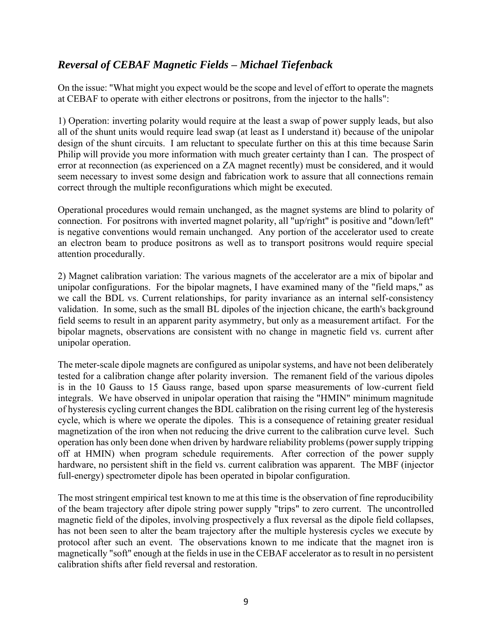# *Reversal of CEBAF Magnetic Fields – Michael Tiefenback*

On the issue: "What might you expect would be the scope and level of effort to operate the magnets at CEBAF to operate with either electrons or positrons, from the injector to the halls":

1) Operation: inverting polarity would require at the least a swap of power supply leads, but also all of the shunt units would require lead swap (at least as I understand it) because of the unipolar design of the shunt circuits. I am reluctant to speculate further on this at this time because Sarin Philip will provide you more information with much greater certainty than I can. The prospect of error at reconnection (as experienced on a ZA magnet recently) must be considered, and it would seem necessary to invest some design and fabrication work to assure that all connections remain correct through the multiple reconfigurations which might be executed.

Operational procedures would remain unchanged, as the magnet systems are blind to polarity of connection. For positrons with inverted magnet polarity, all "up/right" is positive and "down/left" is negative conventions would remain unchanged. Any portion of the accelerator used to create an electron beam to produce positrons as well as to transport positrons would require special attention procedurally.

2) Magnet calibration variation: The various magnets of the accelerator are a mix of bipolar and unipolar configurations. For the bipolar magnets, I have examined many of the "field maps," as we call the BDL vs. Current relationships, for parity invariance as an internal self-consistency validation. In some, such as the small BL dipoles of the injection chicane, the earth's background field seems to result in an apparent parity asymmetry, but only as a measurement artifact. For the bipolar magnets, observations are consistent with no change in magnetic field vs. current after unipolar operation.

The meter-scale dipole magnets are configured as unipolar systems, and have not been deliberately tested for a calibration change after polarity inversion. The remanent field of the various dipoles is in the 10 Gauss to 15 Gauss range, based upon sparse measurements of low-current field integrals. We have observed in unipolar operation that raising the "HMIN" minimum magnitude of hysteresis cycling current changes the BDL calibration on the rising current leg of the hysteresis cycle, which is where we operate the dipoles. This is a consequence of retaining greater residual magnetization of the iron when not reducing the drive current to the calibration curve level. Such operation has only been done when driven by hardware reliability problems (power supply tripping off at HMIN) when program schedule requirements. After correction of the power supply hardware, no persistent shift in the field vs. current calibration was apparent. The MBF (injector full-energy) spectrometer dipole has been operated in bipolar configuration.

The most stringent empirical test known to me at this time is the observation of fine reproducibility of the beam trajectory after dipole string power supply "trips" to zero current. The uncontrolled magnetic field of the dipoles, involving prospectively a flux reversal as the dipole field collapses, has not been seen to alter the beam trajectory after the multiple hysteresis cycles we execute by protocol after such an event. The observations known to me indicate that the magnet iron is magnetically "soft" enough at the fields in use in the CEBAF accelerator as to result in no persistent calibration shifts after field reversal and restoration.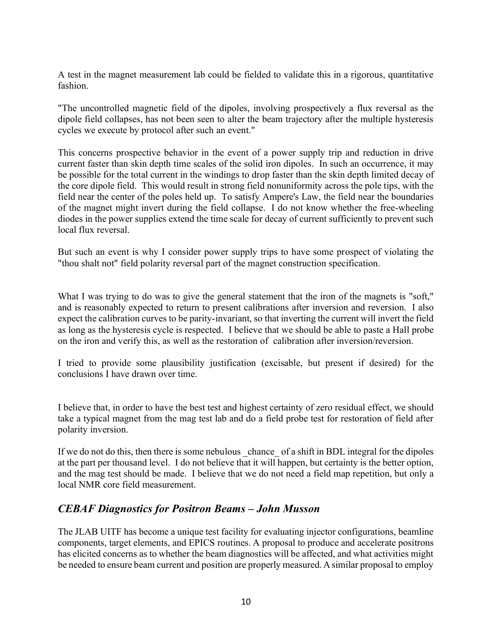A test in the magnet measurement lab could be fielded to validate this in a rigorous, quantitative fashion.

"The uncontrolled magnetic field of the dipoles, involving prospectively a flux reversal as the dipole field collapses, has not been seen to alter the beam trajectory after the multiple hysteresis cycles we execute by protocol after such an event."

This concerns prospective behavior in the event of a power supply trip and reduction in drive current faster than skin depth time scales of the solid iron dipoles. In such an occurrence, it may be possible for the total current in the windings to drop faster than the skin depth limited decay of the core dipole field. This would result in strong field nonuniformity across the pole tips, with the field near the center of the poles held up. To satisfy Ampere's Law, the field near the boundaries of the magnet might invert during the field collapse. I do not know whether the free-wheeling diodes in the power supplies extend the time scale for decay of current sufficiently to prevent such local flux reversal.

But such an event is why I consider power supply trips to have some prospect of violating the "thou shalt not" field polarity reversal part of the magnet construction specification.

What I was trying to do was to give the general statement that the iron of the magnets is "soft," and is reasonably expected to return to present calibrations after inversion and reversion. I also expect the calibration curves to be parity-invariant, so that inverting the current will invert the field as long as the hysteresis cycle is respected. I believe that we should be able to paste a Hall probe on the iron and verify this, as well as the restoration of calibration after inversion/reversion.

I tried to provide some plausibility justification (excisable, but present if desired) for the conclusions I have drawn over time.

I believe that, in order to have the best test and highest certainty of zero residual effect, we should take a typical magnet from the mag test lab and do a field probe test for restoration of field after polarity inversion.

If we do not do this, then there is some nebulous chance of a shift in BDL integral for the dipoles at the part per thousand level. I do not believe that it will happen, but certainty is the better option, and the mag test should be made. I believe that we do not need a field map repetition, but only a local NMR core field measurement.

# *CEBAF Diagnostics for Positron Beams – John Musson*

The JLAB UITF has become a unique test facility for evaluating injector configurations, beamline components, target elements, and EPICS routines. A proposal to produce and accelerate positrons has elicited concerns as to whether the beam diagnostics will be affected, and what activities might be needed to ensure beam current and position are properly measured. A similar proposal to employ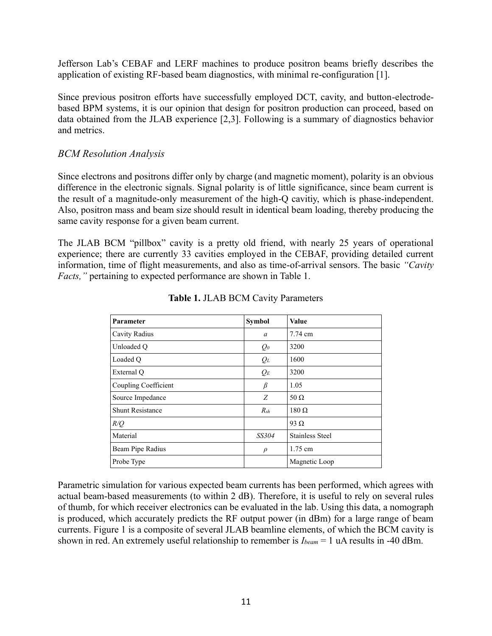Jefferson Lab's CEBAF and LERF machines to produce positron beams briefly describes the application of existing RF-based beam diagnostics, with minimal re-configuration [1].

Since previous positron efforts have successfully employed DCT, cavity, and button-electrodebased BPM systems, it is our opinion that design for positron production can proceed, based on data obtained from the JLAB experience [2,3]. Following is a summary of diagnostics behavior and metrics.

## *BCM Resolution Analysis*

Since electrons and positrons differ only by charge (and magnetic moment), polarity is an obvious difference in the electronic signals. Signal polarity is of little significance, since beam current is the result of a magnitude-only measurement of the high-Q cavitiy, which is phase-independent. Also, positron mass and beam size should result in identical beam loading, thereby producing the same cavity response for a given beam current.

The JLAB BCM "pillbox" cavity is a pretty old friend, with nearly 25 years of operational experience; there are currently 33 cavities employed in the CEBAF, providing detailed current information, time of flight measurements, and also as time-of-arrival sensors. The basic *"Cavity Facts,"* pertaining to expected performance are shown in Table 1.

| <b>Parameter</b>        | Symbol          | <b>Value</b>           |  |
|-------------------------|-----------------|------------------------|--|
| Cavity Radius           | a               | 7.74 cm                |  |
| Unloaded O              | $Q_0$           | 3200                   |  |
| Loaded O                | $Q_L$           | 1600                   |  |
| External Q              | $Q_E$           | 3200                   |  |
| Coupling Coefficient    | β               | 1.05                   |  |
| Source Impedance        | Z               | $50 \Omega$            |  |
| <b>Shunt Resistance</b> | $R_{\text{sh}}$ | $180 \Omega$           |  |
| R/Q                     |                 | 93 $\Omega$            |  |
| Material                | SS304           | <b>Stainless Steel</b> |  |
| Beam Pipe Radius        | $\rho$          | $1.75$ cm              |  |
| Probe Type              |                 | Magnetic Loop          |  |

#### **Table 1.** JLAB BCM Cavity Parameters

Parametric simulation for various expected beam currents has been performed, which agrees with actual beam-based measurements (to within 2 dB). Therefore, it is useful to rely on several rules of thumb, for which receiver electronics can be evaluated in the lab. Using this data, a nomograph is produced, which accurately predicts the RF output power (in dBm) for a large range of beam currents. Figure 1 is a composite of several JLAB beamline elements, of which the BCM cavity is shown in red. An extremely useful relationship to remember is *Ibeam* = 1 uA results in -40 dBm.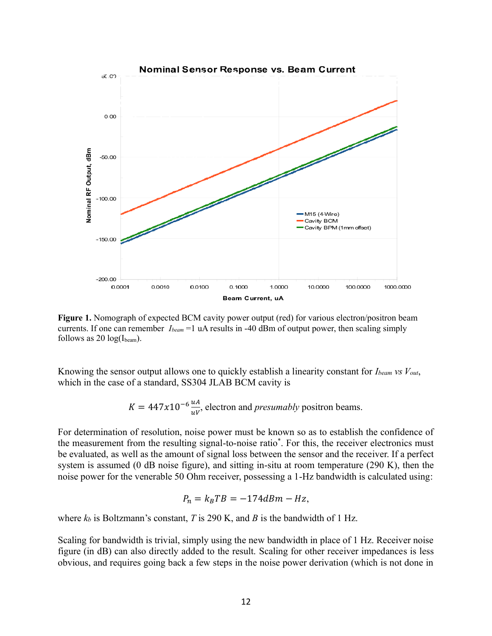

**Figure 1.** Nomograph of expected BCM cavity power output (red) for various electron/positron beam currents. If one can remember *Ibeam* =1 uA results in -40 dBm of output power, then scaling simply follows as 20  $log(I_{beam})$ .

Knowing the sensor output allows one to quickly establish a linearity constant for *Ibeam vs Vout*, which in the case of a standard, SS304 JLAB BCM cavity is

 $K = 447x10^{-6} \frac{uA}{uv}$ , electron and *presumably* positron beams.

For determination of resolution, noise power must be known so as to establish the confidence of the measurement from the resulting signal-to-noise ratio\* . For this, the receiver electronics must be evaluated, as well as the amount of signal loss between the sensor and the receiver. If a perfect system is assumed (0 dB noise figure), and sitting in-situ at room temperature (290 K), then the noise power for the venerable 50 Ohm receiver, possessing a 1-Hz bandwidth is calculated using:

$$
P_n = k_B T B = -174 dBm - Hz,
$$

where  $k_b$  is Boltzmann's constant, *T* is 290 K, and *B* is the bandwidth of 1 Hz.

Scaling for bandwidth is trivial, simply using the new bandwidth in place of 1 Hz. Receiver noise figure (in dB) can also directly added to the result. Scaling for other receiver impedances is less obvious, and requires going back a few steps in the noise power derivation (which is not done in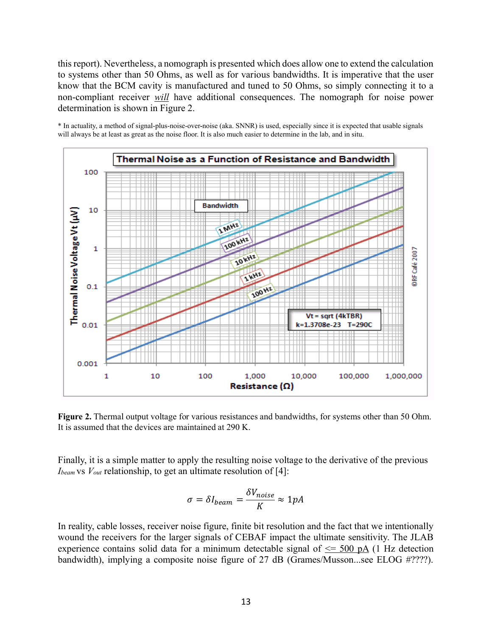this report). Nevertheless, a nomograph is presented which does allow one to extend the calculation to systems other than 50 Ohms, as well as for various bandwidths. It is imperative that the user know that the BCM cavity is manufactured and tuned to 50 Ohms, so simply connecting it to a non-compliant receiver *will* have additional consequences. The nomograph for noise power determination is shown in Figure 2.

\* In actuality, a method of signal-plus-noise-over-noise (aka. SNNR) is used, especially since it is expected that usable signals will always be at least as great as the noise floor. It is also much easier to determine in the lab, and in situ.



**Figure 2.** Thermal output voltage for various resistances and bandwidths, for systems other than 50 Ohm. It is assumed that the devices are maintained at 290 K.

Finally, it is a simple matter to apply the resulting noise voltage to the derivative of the previous *Ibeam* vs *Vout* relationship, to get an ultimate resolution of [4]:

$$
\sigma = \delta I_{beam} = \frac{\delta V_{noise}}{K} \approx 1 pA
$$

In reality, cable losses, receiver noise figure, finite bit resolution and the fact that we intentionally wound the receivers for the larger signals of CEBAF impact the ultimate sensitivity. The JLAB experience contains solid data for a minimum detectable signal of  $\leq$  500 pA (1 Hz detection bandwidth), implying a composite noise figure of 27 dB (Grames/Musson...see ELOG #????).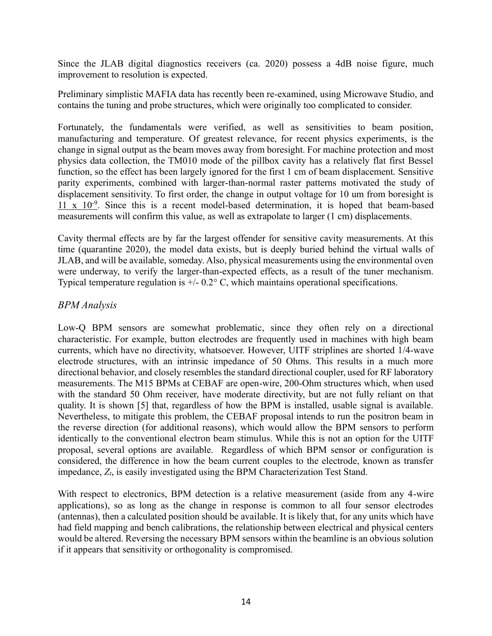Since the JLAB digital diagnostics receivers (ca. 2020) possess a 4dB noise figure, much improvement to resolution is expected.

Preliminary simplistic MAFIA data has recently been re-examined, using Microwave Studio, and contains the tuning and probe structures, which were originally too complicated to consider.

Fortunately, the fundamentals were verified, as well as sensitivities to beam position, manufacturing and temperature. Of greatest relevance, for recent physics experiments, is the change in signal output as the beam moves away from boresight. For machine protection and most physics data collection, the TM010 mode of the pillbox cavity has a relatively flat first Bessel function, so the effect has been largely ignored for the first 1 cm of beam displacement. Sensitive parity experiments, combined with larger-than-normal raster patterns motivated the study of displacement sensitivity. To first order, the change in output voltage for 10 um from boresight is  $11 \times 10^{-9}$ . Since this is a recent model-based determination, it is hoped that beam-based measurements will confirm this value, as well as extrapolate to larger (1 cm) displacements.

Cavity thermal effects are by far the largest offender for sensitive cavity measurements. At this time (quarantine 2020), the model data exists, but is deeply buried behind the virtual walls of JLAB, and will be available, someday. Also, physical measurements using the environmental oven were underway, to verify the larger-than-expected effects, as a result of the tuner mechanism. Typical temperature regulation is  $+/- 0.2^{\circ}$  C, which maintains operational specifications.

## *BPM Analysis*

Low-Q BPM sensors are somewhat problematic, since they often rely on a directional characteristic. For example, button electrodes are frequently used in machines with high beam currents, which have no directivity, whatsoever. However, UITF striplines are shorted 1/4-wave electrode structures, with an intrinsic impedance of 50 Ohms. This results in a much more directional behavior, and closely resembles the standard directional coupler, used for RF laboratory measurements. The M15 BPMs at CEBAF are open-wire, 200-Ohm structures which, when used with the standard 50 Ohm receiver, have moderate directivity, but are not fully reliant on that quality. It is shown [5] that, regardless of how the BPM is installed, usable signal is available. Nevertheless, to mitigate this problem, the CEBAF proposal intends to run the positron beam in the reverse direction (for additional reasons), which would allow the BPM sensors to perform identically to the conventional electron beam stimulus. While this is not an option for the UITF proposal, several options are available. Regardless of which BPM sensor or configuration is considered, the difference in how the beam current couples to the electrode, known as transfer impedance, *Zt*, is easily investigated using the BPM Characterization Test Stand.

With respect to electronics, BPM detection is a relative measurement (aside from any 4-wire applications), so as long as the change in response is common to all four sensor electrodes (antennas), then a calculated position should be available. It is likely that, for any units which have had field mapping and bench calibrations, the relationship between electrical and physical centers would be altered. Reversing the necessary BPM sensors within the beamline is an obvious solution if it appears that sensitivity or orthogonality is compromised.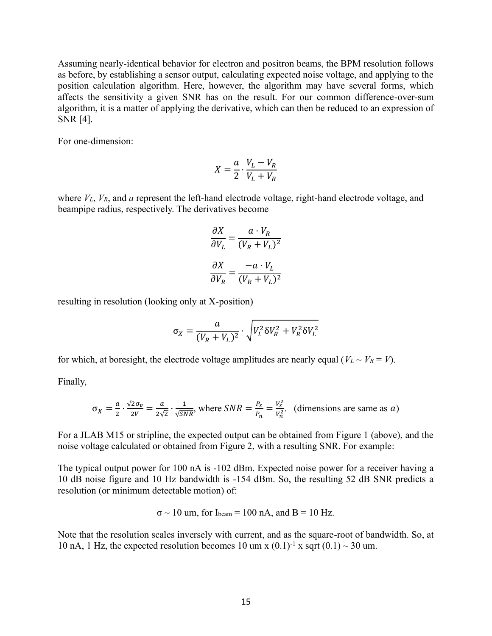Assuming nearly-identical behavior for electron and positron beams, the BPM resolution follows as before, by establishing a sensor output, calculating expected noise voltage, and applying to the position calculation algorithm. Here, however, the algorithm may have several forms, which affects the sensitivity a given SNR has on the result. For our common difference-over-sum algorithm, it is a matter of applying the derivative, which can then be reduced to an expression of SNR [4].

For one-dimension:

$$
X = \frac{a}{2} \cdot \frac{V_L - V_R}{V_L + V_R}
$$

where *VL*, *VR*, and *a* represent the left-hand electrode voltage, right-hand electrode voltage, and beampipe radius, respectively. The derivatives become

$$
\frac{\partial X}{\partial V_L} = \frac{a \cdot V_R}{(V_R + V_L)^2}
$$

$$
\frac{\partial X}{\partial V_R} = \frac{-a \cdot V_L}{(V_R + V_L)^2}
$$

resulting in resolution (looking only at X-position)

$$
\sigma_X = \frac{a}{(V_R + V_L)^2} \cdot \sqrt{V_L^2 \delta V_R^2 + V_R^2 \delta V_L^2}
$$

for which, at boresight, the electrode voltage amplitudes are nearly equal ( $V_L \sim V_R = V$ ).

Finally,

$$
\sigma_X = \frac{a}{2} \cdot \frac{\sqrt{2}\sigma_v}{2V} = \frac{a}{2\sqrt{2}} \cdot \frac{1}{\sqrt{SNR}}
$$
, where  $SNR = \frac{P_s}{P_n} = \frac{V_s^2}{V_n^2}$ . (dimensions are same as a)

For a JLAB M15 or stripline, the expected output can be obtained from Figure 1 (above), and the noise voltage calculated or obtained from Figure 2, with a resulting SNR. For example:

The typical output power for 100 nA is -102 dBm. Expected noise power for a receiver having a 10 dB noise figure and 10 Hz bandwidth is -154 dBm. So, the resulting 52 dB SNR predicts a resolution (or minimum detectable motion) of:

$$
\sigma \sim 10
$$
 um, for I<sub>beam</sub> = 100 nA, and B = 10 Hz.

Note that the resolution scales inversely with current, and as the square-root of bandwidth. So, at 10 nA, 1 Hz, the expected resolution becomes 10 um x  $(0.1)^{-1}$  x sqrt  $(0.1) \sim 30$  um.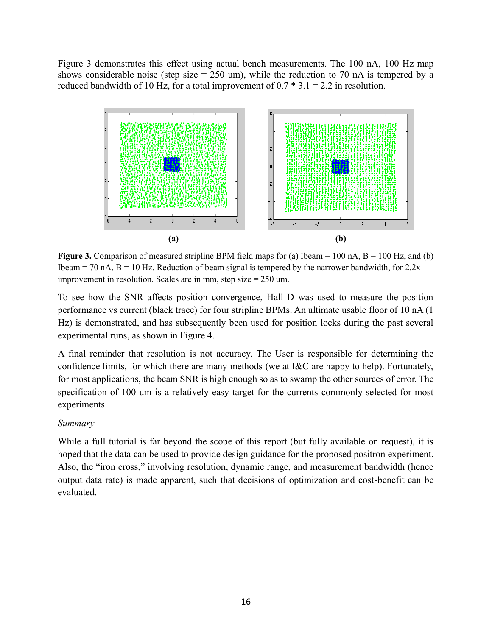Figure 3 demonstrates this effect using actual bench measurements. The 100 nA, 100 Hz map shows considerable noise (step size  $= 250$  um), while the reduction to 70 nA is tempered by a reduced bandwidth of 10 Hz, for a total improvement of  $0.7 * 3.1 = 2.2$  in resolution.



**Figure 3.** Comparison of measured stripline BPM field maps for (a) Ibeam  $= 100$  nA,  $B = 100$  Hz, and (b) Ibeam = 70 nA,  $B = 10$  Hz. Reduction of beam signal is tempered by the narrower bandwidth, for 2.2x improvement in resolution. Scales are in mm, step size = 250 um.

To see how the SNR affects position convergence, Hall D was used to measure the position performance vs current (black trace) for four stripline BPMs. An ultimate usable floor of 10 nA (1 Hz) is demonstrated, and has subsequently been used for position locks during the past several experimental runs, as shown in Figure 4.

A final reminder that resolution is not accuracy. The User is responsible for determining the confidence limits, for which there are many methods (we at I&C are happy to help). Fortunately, for most applications, the beam SNR is high enough so as to swamp the other sources of error. The specification of 100 um is a relatively easy target for the currents commonly selected for most experiments.

#### *Summary*

While a full tutorial is far beyond the scope of this report (but fully available on request), it is hoped that the data can be used to provide design guidance for the proposed positron experiment. Also, the "iron cross," involving resolution, dynamic range, and measurement bandwidth (hence output data rate) is made apparent, such that decisions of optimization and cost-benefit can be evaluated.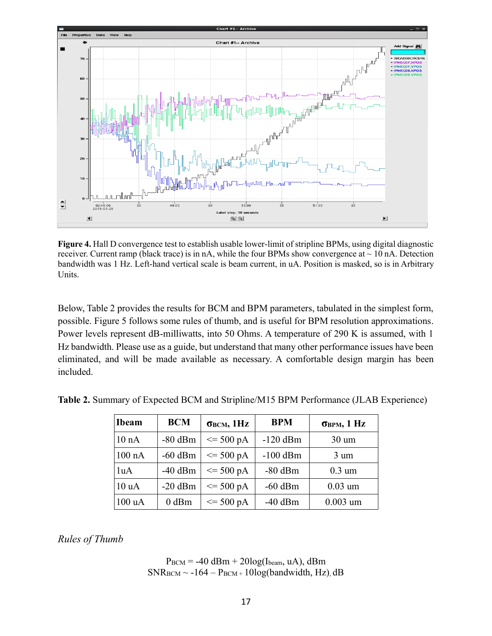

**Figure 4.** Hall D convergence test to establish usable lower-limit of stripline BPMs, using digital diagnostic receiver. Current ramp (black trace) is in nA, while the four BPMs show convergence at  $\sim 10$  nA. Detection bandwidth was 1 Hz. Left-hand vertical scale is beam current, in uA. Position is masked, so is in Arbitrary Units.

Below, Table 2 provides the results for BCM and BPM parameters, tabulated in the simplest form, possible. Figure 5 follows some rules of thumb, and is useful for BPM resolution approximations. Power levels represent dB-milliwatts, into 50 Ohms. A temperature of 290 K is assumed, with 1 Hz bandwidth. Please use as a guide, but understand that many other performance issues have been eliminated, and will be made available as necessary. A comfortable design margin has been included.

| <b>Ibeam</b> | <b>BCM</b> | $\sigma_{\text{BCM}}, 1\text{Hz}$ | <b>BPM</b> | $\sigma_{\rm BPM}$ , 1 Hz |
|--------------|------------|-----------------------------------|------------|---------------------------|
| 10 nA        | $-80$ dBm  | $\leq$ 500 pA                     | $-120$ dBm | $30 \text{ um}$           |
| $100$ nA     | $-60$ dBm  | $\leq$ 500 pA                     | $-100$ dBm | $3 \text{ um}$            |
| 1uA          | $-40$ dBm  | $\leq$ 500 pA                     | $-80$ dBm  | $0.3 \text{ um}$          |
| 10 uA        | $-20$ dBm  | $\leq$ 500 pA                     | $-60$ dBm  | $0.03 \text{ um}$         |
| 100 uA       | $0$ dBm    | $\leq$ 500 pA                     | $-40$ dBm  | $0.003$ um                |

**Table 2.** Summary of Expected BCM and Stripline/M15 BPM Performance (JLAB Experience)

*Rules of Thumb*

#### $P_{BCM} = -40$  dBm + 20log(I<sub>beam</sub>, uA), dBm  $SNR_{\text{BCM}} \sim -164 - P_{\text{BCM}} + 10\log(\text{bandwidth}, \text{Hz}), dB$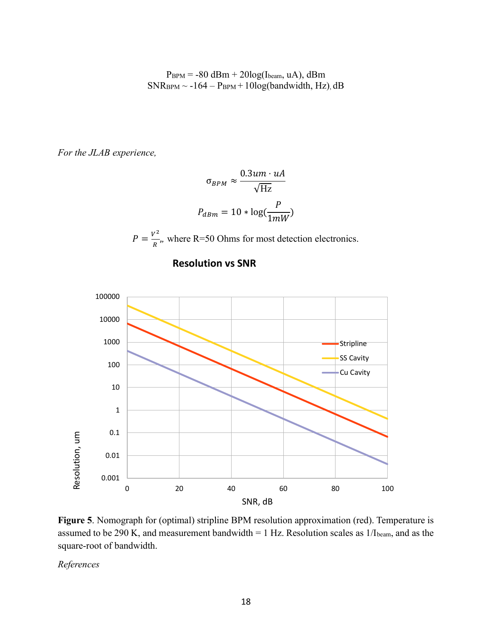$P_{BPM} = -80$  dBm + 20log(Ibeam, uA), dBm  $SNR<sub>BPM</sub> ~ -164 - P<sub>BPM</sub> + 10log(bandwidth, Hz)$ , dB

*For the JLAB experience,*

$$
\sigma_{BPM} \approx \frac{0.3um \cdot uA}{\sqrt{\text{Hz}}}
$$

$$
P_{dBm} = 10 * \log(\frac{P}{1mW})
$$

 $P=\frac{V^2}{R}$  $\frac{\sqrt{2}}{R}$ , where R=50 Ohms for most detection electronics.





**Figure 5**. Nomograph for (optimal) stripline BPM resolution approximation (red). Temperature is assumed to be 290 K, and measurement bandwidth = 1 Hz. Resolution scales as 1/Ibeam, and as the square-root of bandwidth.

*References*